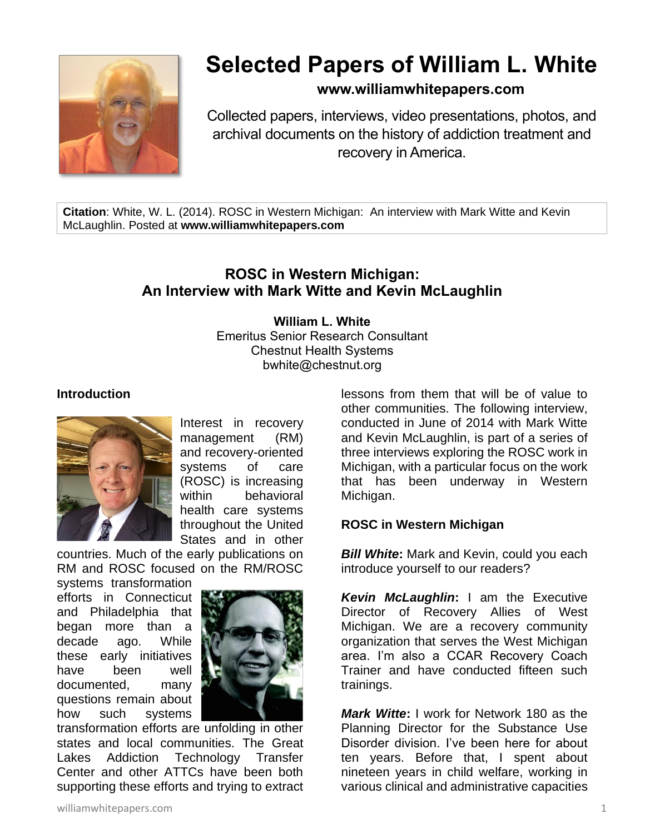

# **Selected Papers of William L. White**

# **www.williamwhitepapers.com**

Collected papers, interviews, video presentations, photos, and archival documents on the history of addiction treatment and recovery in America.

**Citation**: White, W. L. (2014). ROSC in Western Michigan: An interview with Mark Witte and Kevin McLaughlin. Posted at **www.williamwhitepapers.com**

# **ROSC in Western Michigan: An Interview with Mark Witte and Kevin McLaughlin**

#### **William L. White** Emeritus Senior Research Consultant Chestnut Health Systems bwhite@chestnut.org

#### **Introduction**



Interest in recovery management (RM) and recovery-oriented systems of care (ROSC) is increasing within behavioral health care systems throughout the United States and in other

countries. Much of the early publications on RM and ROSC focused on the RM/ROSC

systems transformation efforts in Connecticut and Philadelphia that began more than a decade ago. While these early initiatives have been well documented, many questions remain about how such systems



transformation efforts are unfolding in other states and local communities. The Great Lakes Addiction Technology Transfer Center and other ATTCs have been both supporting these efforts and trying to extract lessons from them that will be of value to other communities. The following interview, conducted in June of 2014 with Mark Witte and Kevin McLaughlin, is part of a series of three interviews exploring the ROSC work in Michigan, with a particular focus on the work that has been underway in Western Michigan.

#### **ROSC in Western Michigan**

*Bill White***:** Mark and Kevin, could you each introduce yourself to our readers?

*Kevin McLaughlin***:** I am the Executive Director of Recovery Allies of West Michigan. We are a recovery community organization that serves the West Michigan area. I'm also a CCAR Recovery Coach Trainer and have conducted fifteen such trainings.

*Mark Witte***:** I work for Network 180 as the Planning Director for the Substance Use Disorder division. I've been here for about ten years. Before that, I spent about nineteen years in child welfare, working in various clinical and administrative capacities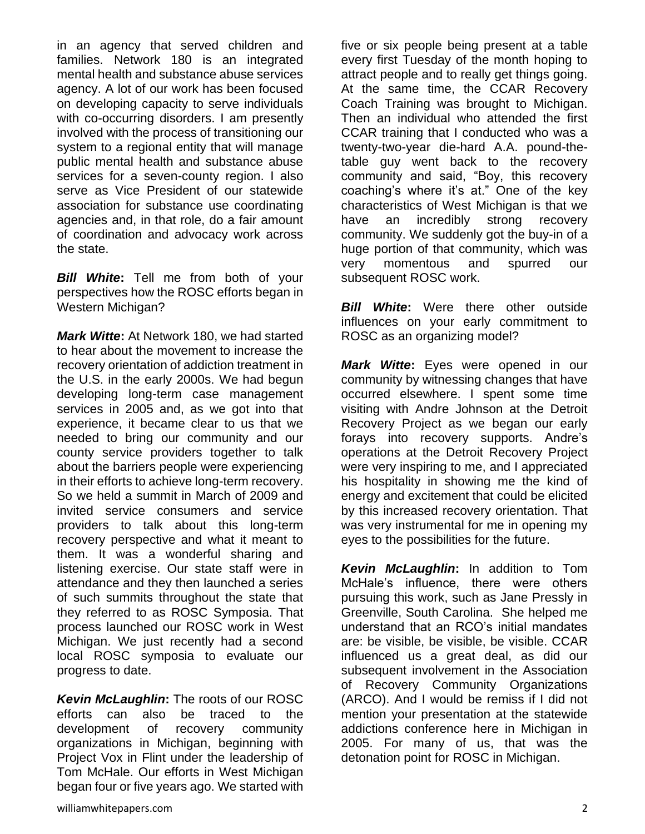developing long-term case management services in 2005 and, as we got into that experience, it became clear to us that we needed to bring our community and our county service providers together to talk

about the barriers people were experiencing in their efforts to achieve long-term recovery. So we held a summit in March of 2009 and invited service consumers and service providers to talk about this long-term recovery perspective and what it meant to them. It was a wonderful sharing and listening exercise. Our state staff were in attendance and they then launched a series of such summits throughout the state that

they referred to as ROSC Symposia. That process launched our ROSC work in West Michigan. We just recently had a second local ROSC symposia to evaluate our

*Kevin McLaughlin***:** The roots of our ROSC efforts can also be traced to the development of recovery community organizations in Michigan, beginning with Project Vox in Flint under the leadership of Tom McHale. Our efforts in West Michigan began four or five years ago. We started with

Western Michigan? *Mark Witte***:** At Network 180, we had started to hear about the movement to increase the recovery orientation of addiction treatment in the U.S. in the early 2000s. We had begun

*Bill White***:** Tell me from both of your perspectives how the ROSC efforts began in

in an agency that served children and families. Network 180 is an integrated mental health and substance abuse services agency. A lot of our work has been focused on developing capacity to serve individuals with co-occurring disorders. I am presently involved with the process of transitioning our system to a regional entity that will manage public mental health and substance abuse services for a seven-county region. I also serve as Vice President of our statewide association for substance use coordinating agencies and, in that role, do a fair amount of coordination and advocacy work across the state.

five or six people being present at a table every first Tuesday of the month hoping to attract people and to really get things going. At the same time, the CCAR Recovery Coach Training was brought to Michigan. Then an individual who attended the first CCAR training that I conducted who was a twenty-two-year die-hard A.A. pound-thetable guy went back to the recovery community and said, "Boy, this recovery coaching's where it's at." One of the key characteristics of West Michigan is that we have an incredibly strong recovery community. We suddenly got the buy-in of a huge portion of that community, which was very momentous and spurred our subsequent ROSC work.

**Bill White:** Were there other outside influences on your early commitment to ROSC as an organizing model?

*Mark Witte***:** Eyes were opened in our community by witnessing changes that have occurred elsewhere. I spent some time visiting with Andre Johnson at the Detroit Recovery Project as we began our early forays into recovery supports. Andre's operations at the Detroit Recovery Project were very inspiring to me, and I appreciated his hospitality in showing me the kind of energy and excitement that could be elicited by this increased recovery orientation. That was very instrumental for me in opening my eyes to the possibilities for the future.

*Kevin McLaughlin***:** In addition to Tom McHale's influence, there were others pursuing this work, such as Jane Pressly in Greenville, South Carolina. She helped me understand that an RCO's initial mandates are: be visible, be visible, be visible. CCAR influenced us a great deal, as did our subsequent involvement in the Association of Recovery Community Organizations (ARCO). And I would be remiss if I did not mention your presentation at the statewide addictions conference here in Michigan in 2005. For many of us, that was the detonation point for ROSC in Michigan.

progress to date.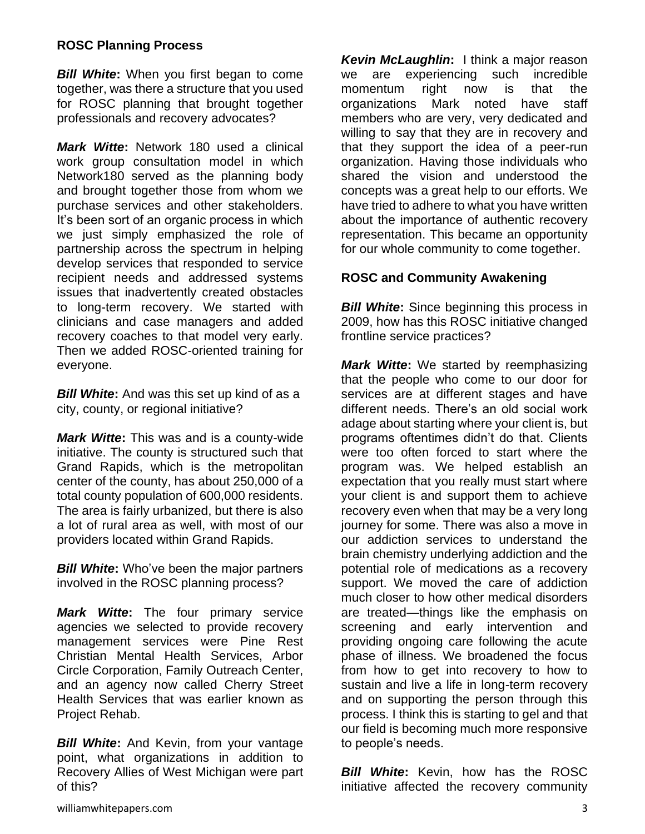## **ROSC Planning Process**

*Bill White***:** When you first began to come together, was there a structure that you used for ROSC planning that brought together professionals and recovery advocates?

*Mark Witte***:** Network 180 used a clinical work group consultation model in which Network180 served as the planning body and brought together those from whom we purchase services and other stakeholders. It's been sort of an organic process in which we just simply emphasized the role of partnership across the spectrum in helping develop services that responded to service recipient needs and addressed systems issues that inadvertently created obstacles to long-term recovery. We started with clinicians and case managers and added recovery coaches to that model very early. Then we added ROSC-oriented training for everyone.

*Bill White***:** And was this set up kind of as a city, county, or regional initiative?

*Mark Witte***:** This was and is a county-wide initiative. The county is structured such that Grand Rapids, which is the metropolitan center of the county, has about 250,000 of a total county population of 600,000 residents. The area is fairly urbanized, but there is also a lot of rural area as well, with most of our providers located within Grand Rapids.

*Bill White***:** Who've been the major partners involved in the ROSC planning process?

*Mark Witte***:** The four primary service agencies we selected to provide recovery management services were Pine Rest Christian Mental Health Services, Arbor Circle Corporation, Family Outreach Center, and an agency now called Cherry Street Health Services that was earlier known as Project Rehab.

*Bill White***:** And Kevin, from your vantage point, what organizations in addition to Recovery Allies of West Michigan were part of this?

*Kevin McLaughlin***:** I think a major reason we are experiencing such incredible momentum right now is that the organizations Mark noted have staff members who are very, very dedicated and willing to say that they are in recovery and that they support the idea of a peer-run organization. Having those individuals who shared the vision and understood the concepts was a great help to our efforts. We have tried to adhere to what you have written about the importance of authentic recovery representation. This became an opportunity for our whole community to come together.

#### **ROSC and Community Awakening**

*Bill White:* Since beginning this process in 2009, how has this ROSC initiative changed frontline service practices?

*Mark Witte***:** We started by reemphasizing that the people who come to our door for services are at different stages and have different needs. There's an old social work adage about starting where your client is, but programs oftentimes didn't do that. Clients were too often forced to start where the program was. We helped establish an expectation that you really must start where your client is and support them to achieve recovery even when that may be a very long journey for some. There was also a move in our addiction services to understand the brain chemistry underlying addiction and the potential role of medications as a recovery support. We moved the care of addiction much closer to how other medical disorders are treated—things like the emphasis on screening and early intervention and providing ongoing care following the acute phase of illness. We broadened the focus from how to get into recovery to how to sustain and live a life in long-term recovery and on supporting the person through this process. I think this is starting to gel and that our field is becoming much more responsive to people's needs.

**Bill White:** Kevin, how has the ROSC initiative affected the recovery community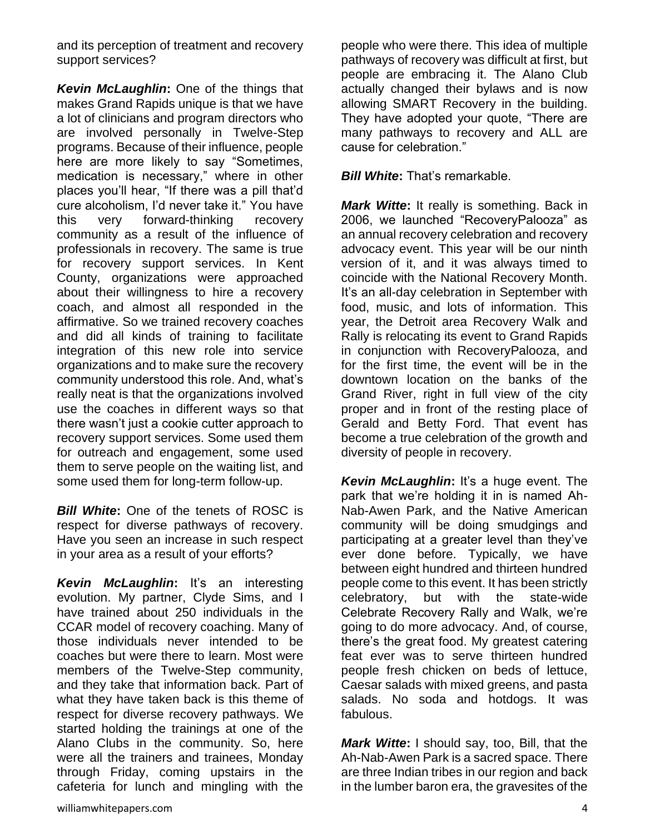and its perception of treatment and recovery support services?

*Kevin McLaughlin***:** One of the things that makes Grand Rapids unique is that we have a lot of clinicians and program directors who are involved personally in Twelve-Step programs. Because of their influence, people here are more likely to say "Sometimes, medication is necessary," where in other places you'll hear, "If there was a pill that'd cure alcoholism, I'd never take it." You have this very forward-thinking recovery community as a result of the influence of professionals in recovery. The same is true for recovery support services. In Kent County, organizations were approached about their willingness to hire a recovery coach, and almost all responded in the affirmative. So we trained recovery coaches and did all kinds of training to facilitate integration of this new role into service organizations and to make sure the recovery community understood this role. And, what's really neat is that the organizations involved use the coaches in different ways so that there wasn't just a cookie cutter approach to recovery support services. Some used them for outreach and engagement, some used them to serve people on the waiting list, and some used them for long-term follow-up.

**Bill White:** One of the tenets of ROSC is respect for diverse pathways of recovery. Have you seen an increase in such respect in your area as a result of your efforts?

*Kevin McLaughlin***:** It's an interesting evolution. My partner, Clyde Sims, and I have trained about 250 individuals in the CCAR model of recovery coaching. Many of those individuals never intended to be coaches but were there to learn. Most were members of the Twelve-Step community, and they take that information back. Part of what they have taken back is this theme of respect for diverse recovery pathways. We started holding the trainings at one of the Alano Clubs in the community. So, here were all the trainers and trainees, Monday through Friday, coming upstairs in the cafeteria for lunch and mingling with the

They have adopted your quote, "There are many pathways to recovery and ALL are cause for celebration." *Bill White***:** That's remarkable. *Mark Witte***:** It really is something. Back in

2006, we launched "RecoveryPalooza" as an annual recovery celebration and recovery advocacy event. This year will be our ninth version of it, and it was always timed to coincide with the National Recovery Month. It's an all-day celebration in September with food, music, and lots of information. This year, the Detroit area Recovery Walk and Rally is relocating its event to Grand Rapids in conjunction with RecoveryPalooza, and for the first time, the event will be in the downtown location on the banks of the Grand River, right in full view of the city proper and in front of the resting place of Gerald and Betty Ford. That event has become a true celebration of the growth and diversity of people in recovery.

people who were there. This idea of multiple pathways of recovery was difficult at first, but people are embracing it. The Alano Club actually changed their bylaws and is now allowing SMART Recovery in the building.

*Kevin McLaughlin***:** It's a huge event. The park that we're holding it in is named Ah-Nab-Awen Park, and the Native American community will be doing smudgings and participating at a greater level than they've ever done before. Typically, we have between eight hundred and thirteen hundred people come to this event. It has been strictly celebratory, but with the state-wide Celebrate Recovery Rally and Walk, we're going to do more advocacy. And, of course, there's the great food. My greatest catering feat ever was to serve thirteen hundred people fresh chicken on beds of lettuce, Caesar salads with mixed greens, and pasta salads. No soda and hotdogs. It was fabulous.

*Mark Witte***:** I should say, too, Bill, that the Ah-Nab-Awen Park is a sacred space. There are three Indian tribes in our region and back in the lumber baron era, the gravesites of the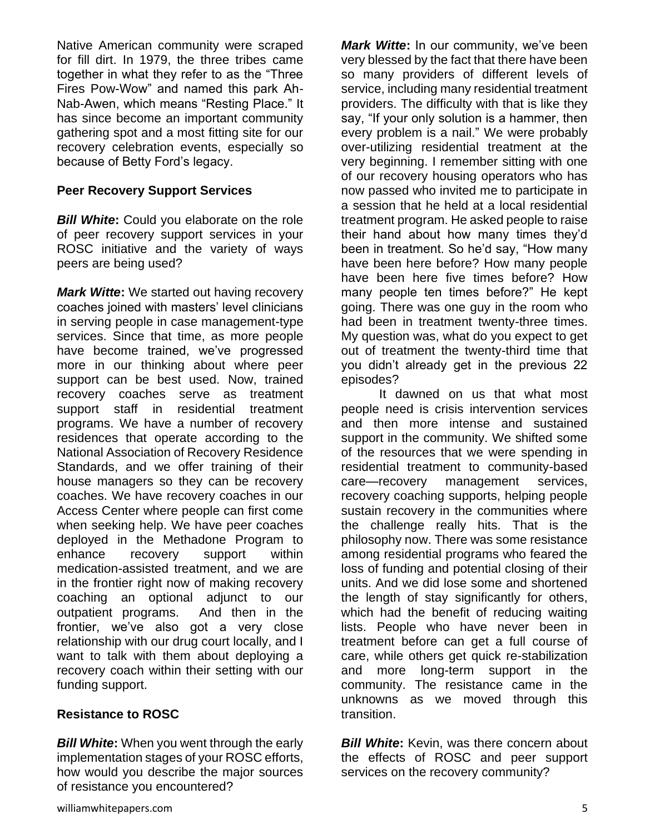Native American community were scraped for fill dirt. In 1979, the three tribes came together in what they refer to as the "Three Fires Pow-Wow" and named this park Ah-Nab-Awen, which means "Resting Place." It has since become an important community gathering spot and a most fitting site for our recovery celebration events, especially so because of Betty Ford's legacy.

#### **Peer Recovery Support Services**

*Bill White***:** Could you elaborate on the role of peer recovery support services in your ROSC initiative and the variety of ways peers are being used?

*Mark Witte***:** We started out having recovery coaches joined with masters' level clinicians in serving people in case management-type services. Since that time, as more people have become trained, we've progressed more in our thinking about where peer support can be best used. Now, trained recovery coaches serve as treatment support staff in residential treatment programs. We have a number of recovery residences that operate according to the National Association of Recovery Residence Standards, and we offer training of their house managers so they can be recovery coaches. We have recovery coaches in our Access Center where people can first come when seeking help. We have peer coaches deployed in the Methadone Program to enhance recovery support within medication-assisted treatment, and we are in the frontier right now of making recovery coaching an optional adjunct to our outpatient programs. And then in the frontier, we've also got a very close relationship with our drug court locally, and I want to talk with them about deploying a recovery coach within their setting with our funding support.

# **Resistance to ROSC**

*Bill White***:** When you went through the early implementation stages of your ROSC efforts, how would you describe the major sources of resistance you encountered?

*Mark Witte***:** In our community, we've been very blessed by the fact that there have been so many providers of different levels of service, including many residential treatment providers. The difficulty with that is like they say, "If your only solution is a hammer, then every problem is a nail." We were probably over-utilizing residential treatment at the very beginning. I remember sitting with one of our recovery housing operators who has now passed who invited me to participate in a session that he held at a local residential treatment program. He asked people to raise their hand about how many times they'd been in treatment. So he'd say, "How many have been here before? How many people have been here five times before? How many people ten times before?" He kept going. There was one guy in the room who had been in treatment twenty-three times. My question was, what do you expect to get out of treatment the twenty-third time that you didn't already get in the previous 22 episodes?

It dawned on us that what most people need is crisis intervention services and then more intense and sustained support in the community. We shifted some of the resources that we were spending in residential treatment to community-based care—recovery management services, recovery coaching supports, helping people sustain recovery in the communities where the challenge really hits. That is the philosophy now. There was some resistance among residential programs who feared the loss of funding and potential closing of their units. And we did lose some and shortened the length of stay significantly for others, which had the benefit of reducing waiting lists. People who have never been in treatment before can get a full course of care, while others get quick re-stabilization and more long-term support in the community. The resistance came in the unknowns as we moved through this transition.

**Bill White:** Kevin, was there concern about the effects of ROSC and peer support services on the recovery community?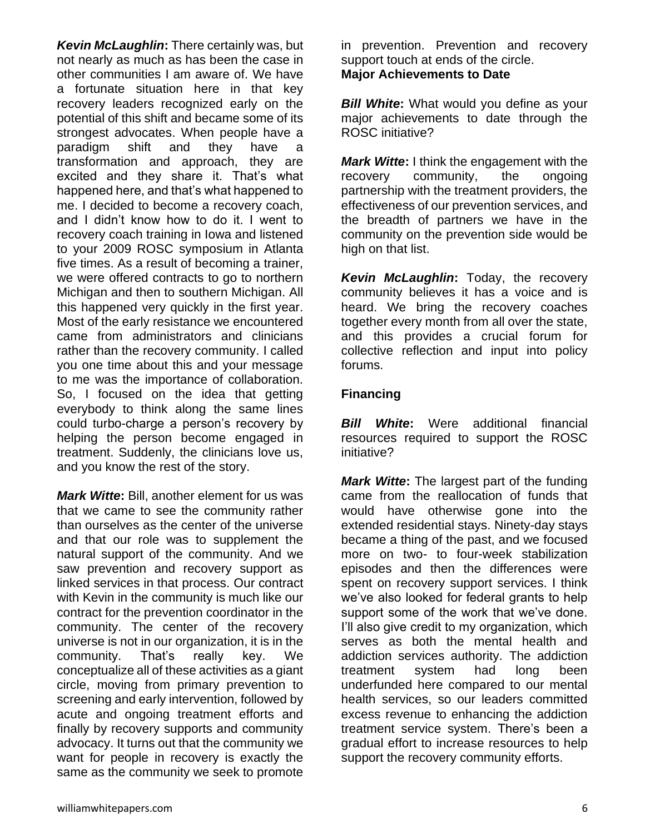*Kevin McLaughlin***:** There certainly was, but not nearly as much as has been the case in other communities I am aware of. We have a fortunate situation here in that key recovery leaders recognized early on the potential of this shift and became some of its strongest advocates. When people have a paradigm shift and they have a transformation and approach, they are excited and they share it. That's what happened here, and that's what happened to me. I decided to become a recovery coach, and I didn't know how to do it. I went to recovery coach training in Iowa and listened to your 2009 ROSC symposium in Atlanta five times. As a result of becoming a trainer, we were offered contracts to go to northern Michigan and then to southern Michigan. All this happened very quickly in the first year. Most of the early resistance we encountered came from administrators and clinicians rather than the recovery community. I called you one time about this and your message to me was the importance of collaboration. So, I focused on the idea that getting everybody to think along the same lines could turbo-charge a person's recovery by helping the person become engaged in treatment. Suddenly, the clinicians love us, and you know the rest of the story.

*Mark Witte***:** Bill, another element for us was that we came to see the community rather than ourselves as the center of the universe and that our role was to supplement the natural support of the community. And we saw prevention and recovery support as linked services in that process. Our contract with Kevin in the community is much like our contract for the prevention coordinator in the community. The center of the recovery universe is not in our organization, it is in the community. That's really key. We conceptualize all of these activities as a giant circle, moving from primary prevention to screening and early intervention, followed by acute and ongoing treatment efforts and finally by recovery supports and community advocacy. It turns out that the community we want for people in recovery is exactly the same as the community we seek to promote

in prevention. Prevention and recovery support touch at ends of the circle. **Major Achievements to Date** 

*Bill White***:** What would you define as your major achievements to date through the ROSC initiative?

*Mark Witte***:** I think the engagement with the recovery community, the ongoing partnership with the treatment providers, the effectiveness of our prevention services, and the breadth of partners we have in the community on the prevention side would be high on that list.

*Kevin McLaughlin***:** Today, the recovery community believes it has a voice and is heard. We bring the recovery coaches together every month from all over the state, and this provides a crucial forum for collective reflection and input into policy forums.

# **Financing**

*Bill White***:** Were additional financial resources required to support the ROSC initiative?

*Mark Witte***:** The largest part of the funding came from the reallocation of funds that would have otherwise gone into the extended residential stays. Ninety-day stays became a thing of the past, and we focused more on two- to four-week stabilization episodes and then the differences were spent on recovery support services. I think we've also looked for federal grants to help support some of the work that we've done. I'll also give credit to my organization, which serves as both the mental health and addiction services authority. The addiction treatment system had long been underfunded here compared to our mental health services, so our leaders committed excess revenue to enhancing the addiction treatment service system. There's been a gradual effort to increase resources to help support the recovery community efforts.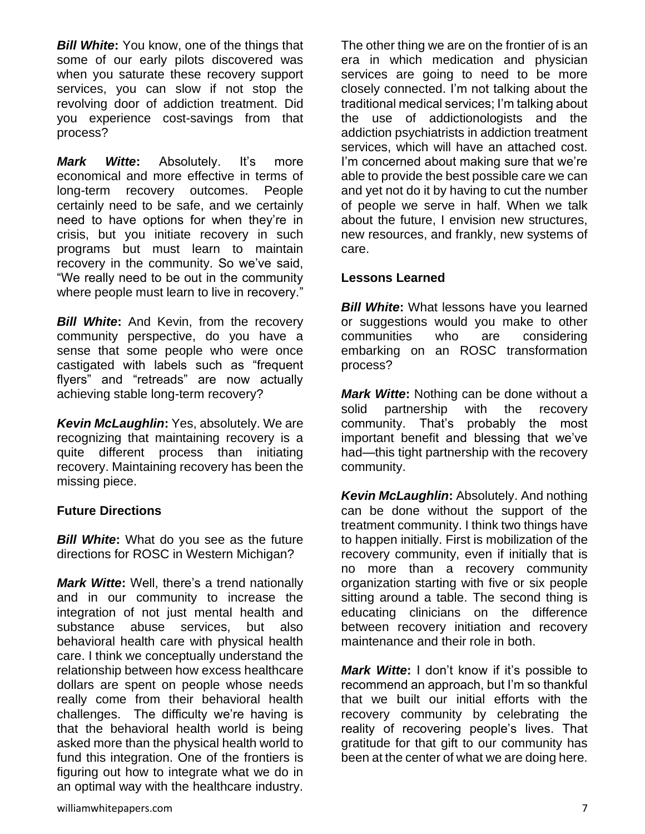**Bill White:** You know, one of the things that some of our early pilots discovered was when you saturate these recovery support services, you can slow if not stop the revolving door of addiction treatment. Did you experience cost-savings from that process?

*Mark Witte***:** Absolutely. It's more economical and more effective in terms of long-term recovery outcomes. People certainly need to be safe, and we certainly need to have options for when they're in crisis, but you initiate recovery in such programs but must learn to maintain recovery in the community. So we've said, "We really need to be out in the community where people must learn to live in recovery."

**Bill White:** And Kevin, from the recovery community perspective, do you have a sense that some people who were once castigated with labels such as "frequent flyers" and "retreads" are now actually achieving stable long-term recovery?

*Kevin McLaughlin***:** Yes, absolutely. We are recognizing that maintaining recovery is a quite different process than initiating recovery. Maintaining recovery has been the missing piece.

#### **Future Directions**

*Bill White***:** What do you see as the future directions for ROSC in Western Michigan?

*Mark Witte***:** Well, there's a trend nationally and in our community to increase the integration of not just mental health and substance abuse services, but also behavioral health care with physical health care. I think we conceptually understand the relationship between how excess healthcare dollars are spent on people whose needs really come from their behavioral health challenges. The difficulty we're having is that the behavioral health world is being asked more than the physical health world to fund this integration. One of the frontiers is figuring out how to integrate what we do in an optimal way with the healthcare industry.

The other thing we are on the frontier of is an era in which medication and physician services are going to need to be more closely connected. I'm not talking about the traditional medical services; I'm talking about the use of addictionologists and the addiction psychiatrists in addiction treatment services, which will have an attached cost. I'm concerned about making sure that we're able to provide the best possible care we can and yet not do it by having to cut the number of people we serve in half. When we talk about the future, I envision new structures, new resources, and frankly, new systems of care.

## **Lessons Learned**

**Bill White:** What lessons have you learned or suggestions would you make to other communities who are considering embarking on an ROSC transformation process?

*Mark Witte***:** Nothing can be done without a solid partnership with the recovery community. That's probably the most important benefit and blessing that we've had—this tight partnership with the recovery community.

*Kevin McLaughlin: Absolutely. And nothing* can be done without the support of the treatment community. I think two things have to happen initially. First is mobilization of the recovery community, even if initially that is no more than a recovery community organization starting with five or six people sitting around a table. The second thing is educating clinicians on the difference between recovery initiation and recovery maintenance and their role in both.

*Mark Witte***:** I don't know if it's possible to recommend an approach, but I'm so thankful that we built our initial efforts with the recovery community by celebrating the reality of recovering people's lives. That gratitude for that gift to our community has been at the center of what we are doing here.